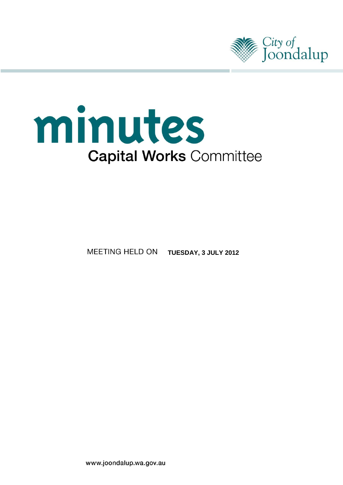

# minutes **Capital Works Committee**

MEETING HELD ON **TUESDAY, 3 JULY 2012**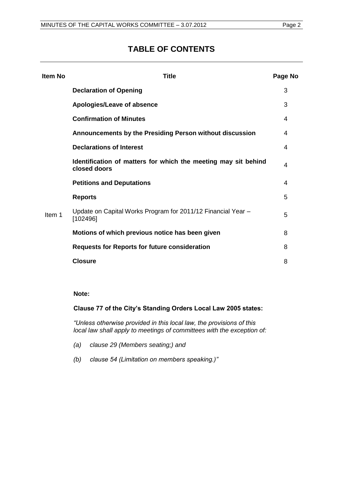# **TABLE OF CONTENTS**

| Item No | Title                                                                          | Page No |
|---------|--------------------------------------------------------------------------------|---------|
|         | <b>Declaration of Opening</b>                                                  | 3       |
|         | Apologies/Leave of absence                                                     | 3       |
|         | <b>Confirmation of Minutes</b>                                                 | 4       |
|         | Announcements by the Presiding Person without discussion                       | 4       |
|         | <b>Declarations of Interest</b>                                                | 4       |
|         | Identification of matters for which the meeting may sit behind<br>closed doors | 4       |
| Item 1  | <b>Petitions and Deputations</b>                                               | 4       |
|         | <b>Reports</b>                                                                 | 5       |
|         | Update on Capital Works Program for 2011/12 Financial Year -<br>[102496]       | 5       |
|         | Motions of which previous notice has been given                                | 8       |
|         | <b>Requests for Reports for future consideration</b>                           | 8       |
|         | <b>Closure</b>                                                                 | 8       |
|         |                                                                                |         |

#### **Note:**

**Clause 77 of the City's Standing Orders Local Law 2005 states:**

*"Unless otherwise provided in this local law, the provisions of this local law shall apply to meetings of committees with the exception of:* 

- *(a) clause 29 (Members seating;) and*
- *(b) clause 54 (Limitation on members speaking.)"*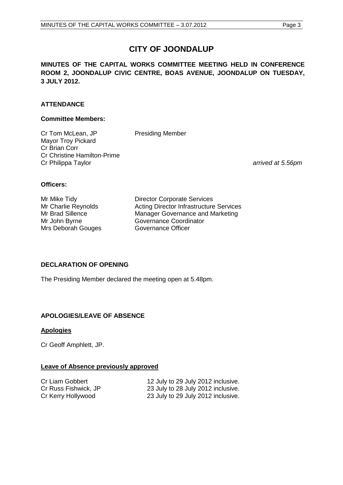# **CITY OF JOONDALUP**

**MINUTES OF THE CAPITAL WORKS COMMITTEE MEETING HELD IN CONFERENCE ROOM 2, JOONDALUP CIVIC CENTRE, BOAS AVENUE, JOONDALUP ON TUESDAY, 3 JULY 2012.**

# **ATTENDANCE**

#### **Committee Members:**

Cr Tom McLean, JP Presiding Member Mayor Troy Pickard Cr Brian Corr Cr Christine Hamilton-Prime Cr Philippa Taylor *arrived at 5.56pm*

#### **Officers:**

Mrs Deborah Gouges Governance Officer

Mr Mike Tidy<br>
Mr Charlie Reynolds
Burness Acting Director Infrastructure Acting Director Infrastructure Services Mr Brad Sillence Manager Governance and Marketing Mr John Byrne Governance Coordinator

#### <span id="page-2-0"></span>**DECLARATION OF OPENING**

The Presiding Member declared the meeting open at 5.48pm.

# <span id="page-2-1"></span>**APOLOGIES/LEAVE OF ABSENCE**

#### **Apologies**

Cr Geoff Amphlett, JP.

#### **Leave of Absence previously approved**

Cr Liam Gobbert 12 July to 29 July 2012 inclusive.<br>Cr Russ Fishwick, JP 23 July to 28 July 2012 inclusive. 23 July to 28 July 2012 inclusive. Cr Kerry Hollywood 23 July to 29 July 2012 inclusive.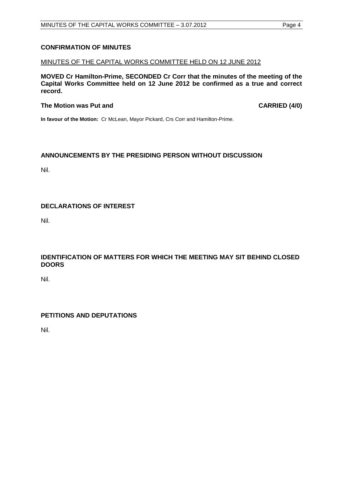## <span id="page-3-0"></span>**CONFIRMATION OF MINUTES**

#### MINUTES OF THE CAPITAL WORKS COMMITTEE HELD ON 12 JUNE 2012

**MOVED Cr Hamilton-Prime, SECONDED Cr Corr that the minutes of the meeting of the Capital Works Committee held on 12 June 2012 be confirmed as a true and correct record.**

#### The Motion was Put and **CARRIED** (4/0)

**In favour of the Motion:** Cr McLean, Mayor Pickard, Crs Corr and Hamilton-Prime.

#### <span id="page-3-1"></span>**ANNOUNCEMENTS BY THE PRESIDING PERSON WITHOUT DISCUSSION**

Nil.

# <span id="page-3-2"></span>**DECLARATIONS OF INTEREST**

Nil.

# <span id="page-3-3"></span>**IDENTIFICATION OF MATTERS FOR WHICH THE MEETING MAY SIT BEHIND CLOSED DOORS**

Nil.

#### <span id="page-3-4"></span>**PETITIONS AND DEPUTATIONS**

Nil.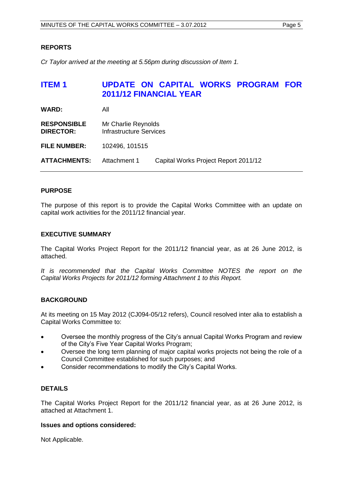### <span id="page-4-0"></span>**REPORTS**

*Cr Taylor arrived at the meeting at 5.56pm during discussion of Item 1.*

# <span id="page-4-1"></span>**ITEM 1 UPDATE ON CAPITAL WORKS PROGRAM FOR 2011/12 FINANCIAL YEAR**

| <b>WARD:</b>                           | All                                                   |                                      |
|----------------------------------------|-------------------------------------------------------|--------------------------------------|
| <b>RESPONSIBLE</b><br><b>DIRECTOR:</b> | Mr Charlie Reynolds<br><b>Infrastructure Services</b> |                                      |
| <b>FILE NUMBER:</b>                    | 102496, 101515                                        |                                      |
| <b>ATTACHMENTS:</b>                    | Attachment 1                                          | Capital Works Project Report 2011/12 |

#### **PURPOSE**

The purpose of this report is to provide the Capital Works Committee with an update on capital work activities for the 2011/12 financial year.

#### **EXECUTIVE SUMMARY**

The Capital Works Project Report for the 2011/12 financial year, as at 26 June 2012, is attached.

*It is recommended that the Capital Works Committee NOTES the report on the Capital Works Projects for 2011/12 forming Attachment 1 to this Report.*

#### **BACKGROUND**

At its meeting on 15 May 2012 (CJ094-05/12 refers), Council resolved inter alia to establish a Capital Works Committee to:

- Oversee the monthly progress of the City's annual Capital Works Program and review of the City's Five Year Capital Works Program;
- Oversee the long term planning of major capital works projects not being the role of a Council Committee established for such purposes; and
- Consider recommendations to modify the City's Capital Works.

# **DETAILS**

The Capital Works Project Report for the 2011/12 financial year, as at 26 June 2012, is attached at Attachment 1.

#### **Issues and options considered:**

Not Applicable.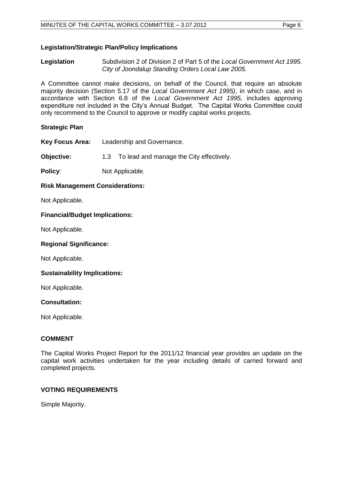## **Legislation/Strategic Plan/Policy Implications**

**Legislation** Subdivision 2 of Division 2 of Part 5 of the *Local Government Act 1995. City of Joondalup Standing Orders Local Law 2005.*

A Committee cannot make decisions, on behalf of the Council, that require an absolute majority decision (Section 5.17 of the *Local Government Act 1995)*, in which case, and in accordance with Section 6.8 of the *Local Government Act 1995,* includes approving expenditure not included in the City's Annual Budget. The Capital Works Committee could only recommend to the Council to approve or modify capital works projects.

#### **Strategic Plan**

**Key Focus Area:** Leadership and Governance.

**Objective:** 1.3 To lead and manage the City effectively.

**Policy:** Not Applicable.

# **Risk Management Considerations:**

Not Applicable.

#### **Financial/Budget Implications:**

Not Applicable.

#### **Regional Significance:**

Not Applicable.

#### **Sustainability Implications:**

Not Applicable.

#### **Consultation:**

Not Applicable.

#### **COMMENT**

The Capital Works Project Report for the 2011/12 financial year provides an update on the capital work activities undertaken for the year including details of carried forward and completed projects.

#### **VOTING REQUIREMENTS**

Simple Majority.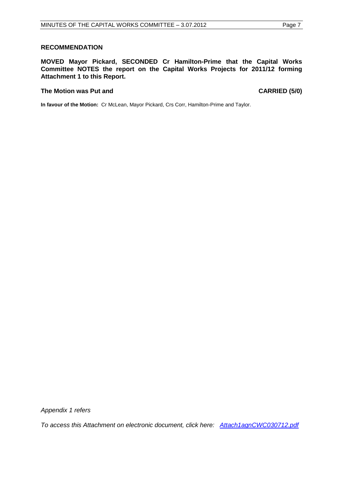#### **RECOMMENDATION**

**MOVED Mayor Pickard, SECONDED Cr Hamilton-Prime that the Capital Works Committee NOTES the report on the Capital Works Projects for 2011/12 forming Attachment 1 to this Report.**

#### The Motion was Put and **CARRIED** (5/0)

**In favour of the Motion:** Cr McLean, Mayor Pickard, Crs Corr, Hamilton-Prime and Taylor.

*Appendix 1 refers*

*To access this Attachment on electronic document, click here[:](Attach1agnCWC030712.pdf) [Attach1agnCWC030712.pdf](file://coj-fluorine/Minutes/minagenda/FINAL/Attachments/Attach1agnCWC030712.pdf)*